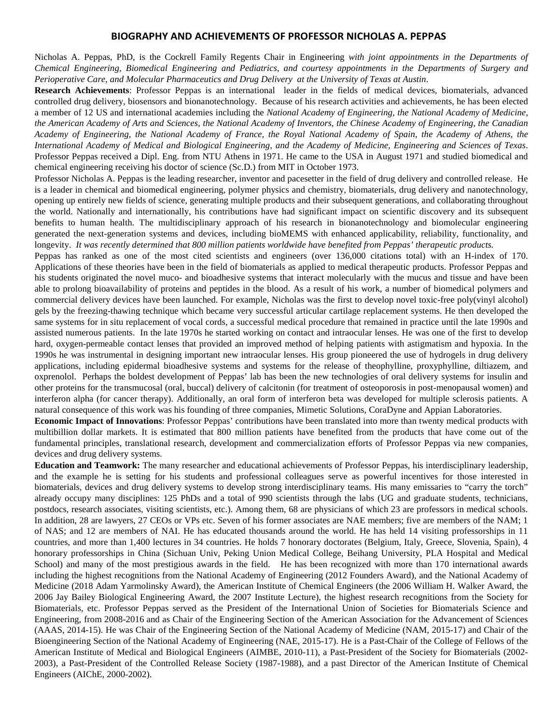## **BIOGRAPHY AND ACHIEVEMENTS OF PROFESSOR NICHOLAS A. PEPPAS**

Nicholas A. Peppas, PhD, is the Cockrell Family Regents Chair in Engineering *with joint appointments in the Departments of Chemical Engineering, Biomedical Engineering and Pediatrics, and courtesy appointments in the Departments of Surgery and Perioperative Care, and Molecular Pharmaceutics and Drug Delivery at the University of Texas at Austin*.

**Research Achievements**: Professor Peppas is an international leader in the fields of medical devices, biomaterials, advanced controlled drug delivery, biosensors and bionanotechnology. Because of his research activities and achievements, he has been elected a member of 12 US and international academies including the *National Academy of Engineering, the National Academy of Medicine, the American Academy of Arts and Sciences, the National Academy of Inventors, the Chinese Academy of Engineering, the Canadian Academy of Engineering, the National Academy of France, the Royal National Academy of Spain, the Academy of Athens, the International Academy of Medical and Biological Engineering, and the Academy of Medicine, Engineering and Sciences of Texas*. Professor Peppas received a Dipl. Eng. from NTU Athens in 1971. He came to the USA in August 1971 and studied biomedical and chemical engineering receiving his doctor of science (Sc.D.) from MIT in October 1973.

Professor Nicholas A. Peppas is the leading researcher, inventor and pacesetter in the field of drug delivery and controlled release. He is a leader in chemical and biomedical engineering, polymer physics and chemistry, biomaterials, drug delivery and nanotechnology, opening up entirely new fields of science, generating multiple products and their subsequent generations, and collaborating throughout the world. Nationally and internationally, his contributions have had significant impact on scientific discovery and its subsequent benefits to human health. The multidisciplinary approach of his research in bionanotechnology and biomolecular engineering generated the next-generation systems and devices, including bioMEMS with enhanced applicability, reliability, functionality, and longevity. *It was recently determined that 800 million patients worldwide have benefited from Peppas' therapeutic products.*

Peppas has ranked as one of the most cited scientists and engineers (over 136,000 citations total) with an H-index of 170. Applications of these theories have been in the field of biomaterials as applied to medical therapeutic products. Professor Peppas and his students originated the novel muco- and bioadhesive systems that interact molecularly with the mucus and tissue and have been able to prolong bioavailability of proteins and peptides in the blood. As a result of his work, a number of biomedical polymers and commercial delivery devices have been launched. For example, Nicholas was the first to develop novel toxic-free poly(vinyl alcohol) gels by the freezing-thawing technique which became very successful articular cartilage replacement systems. He then developed the same systems for in situ replacement of vocal cords, a successful medical procedure that remained in practice until the late 1990s and assisted numerous patients. In the late 1970s he started working on contact and intraocular lenses. He was one of the first to develop hard, oxygen-permeable contact lenses that provided an improved method of helping patients with astigmatism and hypoxia. In the 1990s he was instrumental in designing important new intraocular lenses. His group pioneered the use of hydrogels in drug delivery applications, including epidermal bioadhesive systems and systems for the release of theophylline, proxyphylline, diltiazem, and oxprenolol. Perhaps the boldest development of Peppas' lab has been the new technologies of oral delivery systems for insulin and other proteins for the transmucosal (oral, buccal) delivery of calcitonin (for treatment of osteoporosis in post-menopausal women) and interferon alpha (for cancer therapy). Additionally, an oral form of interferon beta was developed for multiple sclerosis patients. A natural consequence of this work was his founding of three companies, Mimetic Solutions, CoraDyne and Appian Laboratories.

**Economic Impact of Innovations**: Professor Peppas' contributions have been translated into more than twenty medical products with multibillion dollar markets. It is estimated that 800 million patients have benefited from the products that have come out of the fundamental principles, translational research, development and commercialization efforts of Professor Peppas via new companies, devices and drug delivery systems.

**Education and Teamwork:** The many researcher and educational achievements of Professor Peppas, his interdisciplinary leadership, and the example he is setting for his students and professional colleagues serve as powerful incentives for those interested in biomaterials, devices and drug delivery systems to develop strong interdisciplinary teams. His many emissaries to "carry the torch" already occupy many disciplines: 125 PhDs and a total of 990 scientists through the labs (UG and graduate students, technicians, postdocs, research associates, visiting scientists, etc.). Among them, 68 are physicians of which 23 are professors in medical schools. In addition, 28 are lawyers, 27 CEOs or VPs etc. Seven of his former associates are NAE members; five are members of the NAM; 1 of NAS; and 12 are members of NAI. He has educated thousands around the world. He has held 14 visiting professorships in 11 countries, and more than 1,400 lectures in 34 countries. He holds 7 honorary doctorates (Belgium, Italy, Greece, Slovenia, Spain), 4 honorary professorships in China (Sichuan Univ, Peking Union Medical College, Beihang University, PLA Hospital and Medical School) and many of the most prestigious awards in the field. He has been recognized with more than 170 international awards including the highest recognitions from the National Academy of Engineering (2012 Founders Award), and the National Academy of Medicine (2018 Adam Yarmolinsky Award), the American Institute of Chemical Engineers (the 2006 William H. Walker Award, the 2006 Jay Bailey Biological Engineering Award, the 2007 Institute Lecture), the highest research recognitions from the Society for Biomaterials, etc. Professor Peppas served as the President of the International Union of Societies for Biomaterials Science and Engineering, from 2008-2016 and as Chair of the Engineering Section of the American Association for the Advancement of Sciences (AAAS, 2014-15). He was Chair of the Engineering Section of the National Academy of Medicine (NAM, 2015-17) and Chair of the Bioengineering Section of the National Academy of Engineering (NAE, 2015-17). He is a Past-Chair of the College of Fellows of the American Institute of Medical and Biological Engineers (AIMBE, 2010-11), a Past-President of the Society for Biomaterials (2002- 2003), a Past-President of the Controlled Release Society (1987-1988), and a past Director of the American Institute of Chemical Engineers (AIChE, 2000-2002).